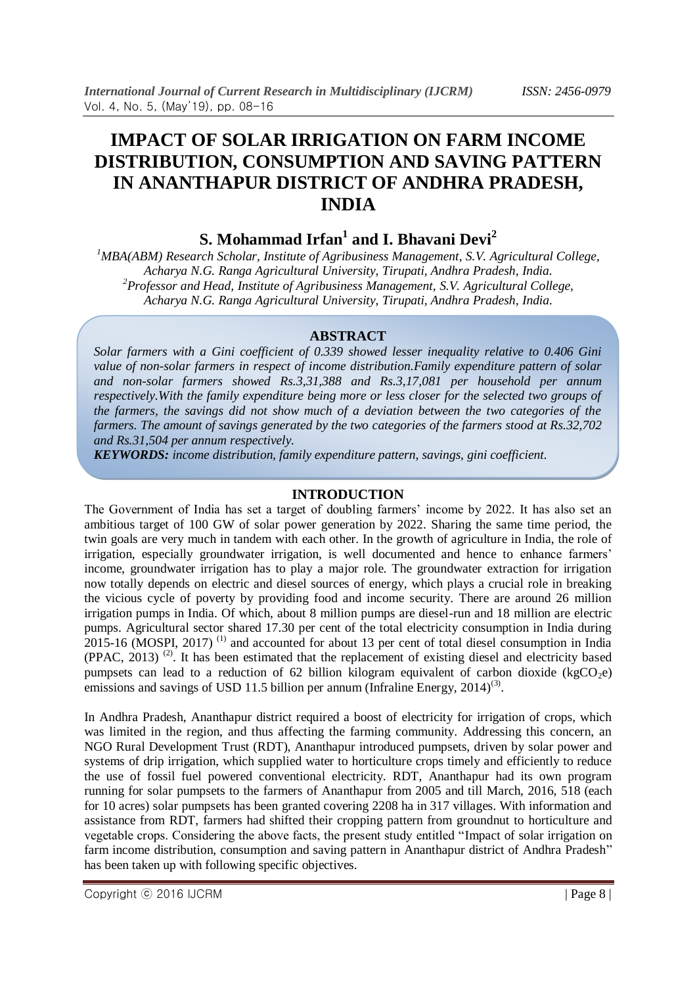# **IMPACT OF SOLAR IRRIGATION ON FARM INCOME DISTRIBUTION, CONSUMPTION AND SAVING PATTERN IN ANANTHAPUR DISTRICT OF ANDHRA PRADESH, INDIA**

# **S. Mohammad Irfan<sup>1</sup> and I. Bhavani Devi<sup>2</sup>**

*<sup>1</sup>MBA(ABM) Research Scholar, Institute of Agribusiness Management, S.V. Agricultural College, Acharya N.G. Ranga Agricultural University, Tirupati, Andhra Pradesh, India. <sup>2</sup>Professor and Head, Institute of Agribusiness Management, S.V. Agricultural College, Acharya N.G. Ranga Agricultural University, Tirupati, Andhra Pradesh, India.*

# **ABSTRACT**

*Solar farmers with a Gini coefficient of 0.339 showed lesser inequality relative to 0.406 Gini value of non-solar farmers in respect of income distribution.Family expenditure pattern of solar and non-solar farmers showed Rs.3,31,388 and Rs.3,17,081 per household per annum respectively.With the family expenditure being more or less closer for the selected two groups of the farmers, the savings did not show much of a deviation between the two categories of the farmers. The amount of savings generated by the two categories of the farmers stood at Rs.32,702 and Rs.31,504 per annum respectively.*

*KEYWORDS: income distribution, family expenditure pattern, savings, gini coefficient.*

## **INTRODUCTION**

The Government of India has set a target of doubling farmers' income by 2022. It has also set an ambitious target of 100 GW of solar power generation by 2022. Sharing the same time period, the twin goals are very much in tandem with each other. In the growth of agriculture in India, the role of irrigation, especially groundwater irrigation, is well documented and hence to enhance farmers' income, groundwater irrigation has to play a major role. The groundwater extraction for irrigation now totally depends on electric and diesel sources of energy, which plays a crucial role in breaking the vicious cycle of poverty by providing food and income security. There are around 26 million irrigation pumps in India. Of which, about 8 million pumps are diesel-run and 18 million are electric pumps. Agricultural sector shared 17.30 per cent of the total electricity consumption in India during  $2015$ -16 (MOSPI, 2017)<sup>(1)</sup> and accounted for about 13 per cent of total diesel consumption in India (PPAC, 2013) (2). It has been estimated that the replacement of existing diesel and electricity based pumpsets can lead to a reduction of 62 billion kilogram equivalent of carbon dioxide (kgCO<sub>2</sub>e) emissions and savings of USD 11.5 billion per annum (Infraline Energy,  $2014$ )<sup>(3)</sup>.

In Andhra Pradesh, Ananthapur district required a boost of electricity for irrigation of crops, which was limited in the region, and thus affecting the farming community. Addressing this concern, an NGO Rural Development Trust (RDT), Ananthapur introduced pumpsets, driven by solar power and systems of drip irrigation, which supplied water to horticulture crops timely and efficiently to reduce the use of fossil fuel powered conventional electricity. RDT, Ananthapur had its own program running for solar pumpsets to the farmers of Ananthapur from 2005 and till March, 2016, 518 (each for 10 acres) solar pumpsets has been granted covering 2208 ha in 317 villages. With information and assistance from RDT, farmers had shifted their cropping pattern from groundnut to horticulture and vegetable crops. Considering the above facts, the present study entitled "Impact of solar irrigation on farm income distribution, consumption and saving pattern in Ananthapur district of Andhra Pradesh" has been taken up with following specific objectives.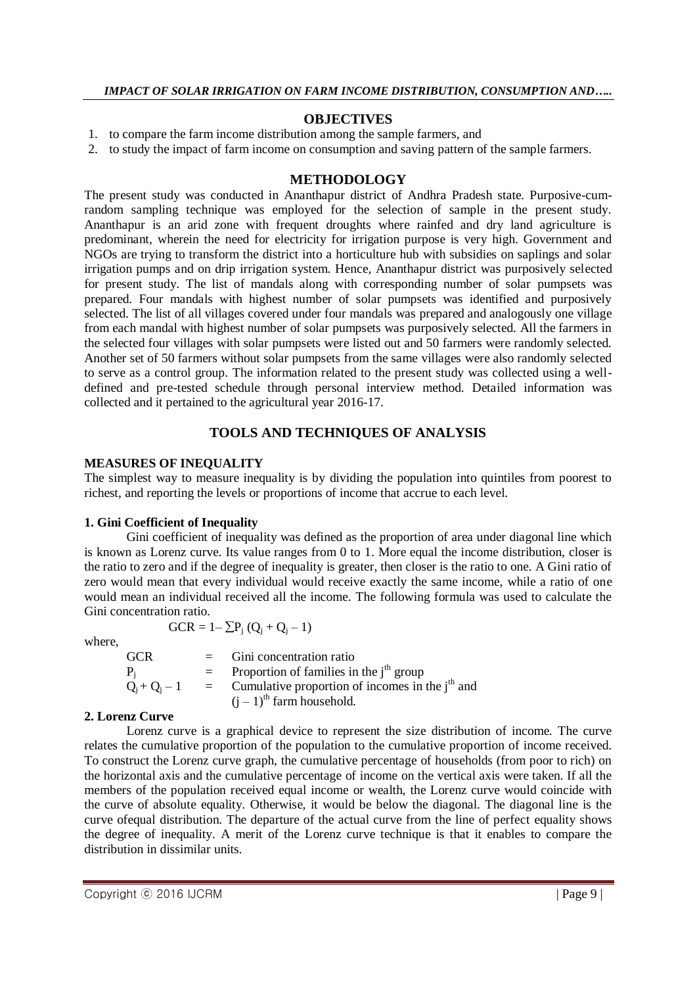#### **OBJECTIVES**

- 1. to compare the farm income distribution among the sample farmers, and
- 2. to study the impact of farm income on consumption and saving pattern of the sample farmers.

#### **METHODOLOGY**

The present study was conducted in Ananthapur district of Andhra Pradesh state. Purposive-cumrandom sampling technique was employed for the selection of sample in the present study. Ananthapur is an arid zone with frequent droughts where rainfed and dry land agriculture is predominant, wherein the need for electricity for irrigation purpose is very high. Government and NGOs are trying to transform the district into a horticulture hub with subsidies on saplings and solar irrigation pumps and on drip irrigation system. Hence, Ananthapur district was purposively selected for present study. The list of mandals along with corresponding number of solar pumpsets was prepared. Four mandals with highest number of solar pumpsets was identified and purposively selected. The list of all villages covered under four mandals was prepared and analogously one village from each mandal with highest number of solar pumpsets was purposively selected. All the farmers in the selected four villages with solar pumpsets were listed out and 50 farmers were randomly selected. Another set of 50 farmers without solar pumpsets from the same villages were also randomly selected to serve as a control group. The information related to the present study was collected using a welldefined and pre-tested schedule through personal interview method. Detailed information was collected and it pertained to the agricultural year 2016-17.

### **TOOLS AND TECHNIQUES OF ANALYSIS**

#### **MEASURES OF INEQUALITY**

The simplest way to measure inequality is by dividing the population into quintiles from poorest to richest, and reporting the levels or proportions of income that accrue to each level.

#### **1. Gini Coefficient of Inequality**

Gini coefficient of inequality was defined as the proportion of area under diagonal line which is known as Lorenz curve. Its value ranges from 0 to 1. More equal the income distribution, closer is the ratio to zero and if the degree of inequality is greater, then closer is the ratio to one. A Gini ratio of zero would mean that every individual would receive exactly the same income, while a ratio of one would mean an individual received all the income. The following formula was used to calculate the Gini concentration ratio.

$$
GCR = 1 - \sum P_j (Q_j + Q_j - 1)
$$

where,

| <b>GCR</b> | $=$ Gini concentration ratio                                                  |
|------------|-------------------------------------------------------------------------------|
| $P_i$      | $=$ Proportion of families in the j <sup>th</sup> group                       |
|            | $Q_i + Q_j - 1$ = Cumulative proportion of incomes in the j <sup>th</sup> and |
|            | $(i - 1)$ <sup>th</sup> farm household.                                       |

#### **2. Lorenz Curve**

Lorenz curve is a graphical device to represent the size distribution of income. The curve relates the cumulative proportion of the population to the cumulative proportion of income received. To construct the Lorenz curve graph, the cumulative percentage of households (from poor to rich) on the horizontal axis and the cumulative percentage of income on the vertical axis were taken. If all the members of the population received equal income or wealth, the Lorenz curve would coincide with the curve of absolute equality. Otherwise, it would be below the diagonal. The diagonal line is the curve ofequal distribution. The departure of the actual curve from the line of perfect equality shows the degree of inequality. A merit of the Lorenz curve technique is that it enables to compare the distribution in dissimilar units.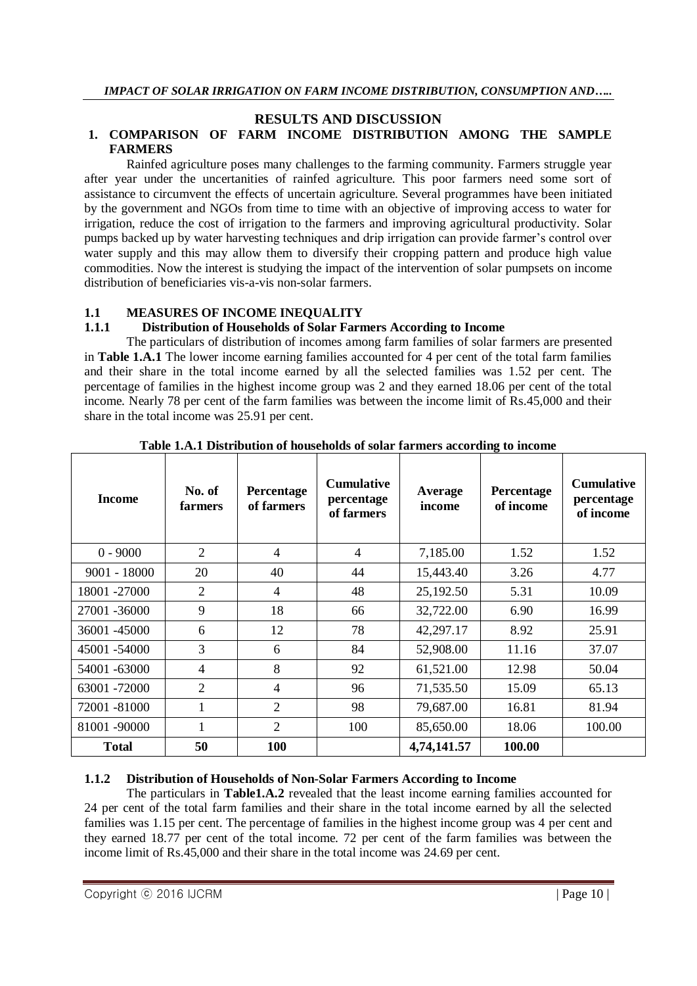#### **RESULTS AND DISCUSSION**

## **1. COMPARISON OF FARM INCOME DISTRIBUTION AMONG THE SAMPLE FARMERS**

Rainfed agriculture poses many challenges to the farming community. Farmers struggle year after year under the uncertanities of rainfed agriculture. This poor farmers need some sort of assistance to circumvent the effects of uncertain agriculture. Several programmes have been initiated by the government and NGOs from time to time with an objective of improving access to water for irrigation, reduce the cost of irrigation to the farmers and improving agricultural productivity. Solar pumps backed up by water harvesting techniques and drip irrigation can provide farmer's control over water supply and this may allow them to diversify their cropping pattern and produce high value commodities. Now the interest is studying the impact of the intervention of solar pumpsets on income distribution of beneficiaries vis-a-vis non-solar farmers.

### **1.1 MEASURES OF INCOME INEQUALITY**

## **1.1.1 Distribution of Households of Solar Farmers According to Income**

The particulars of distribution of incomes among farm families of solar farmers are presented in **Table 1.A.1** The lower income earning families accounted for 4 per cent of the total farm families and their share in the total income earned by all the selected families was 1.52 per cent. The percentage of families in the highest income group was 2 and they earned 18.06 per cent of the total income. Nearly 78 per cent of the farm families was between the income limit of Rs.45,000 and their share in the total income was 25.91 per cent.

| <b>Income</b>  | No. of<br>farmers | Percentage<br>of farmers | <b>Cumulative</b><br>percentage<br>of farmers | Average<br>income | Percentage<br>of income | <b>Cumulative</b><br>percentage<br>of income |
|----------------|-------------------|--------------------------|-----------------------------------------------|-------------------|-------------------------|----------------------------------------------|
| $0 - 9000$     | $\overline{2}$    | $\overline{4}$           | 4                                             | 7,185.00          | 1.52                    | 1.52                                         |
| $9001 - 18000$ | 20                | 40                       | 44                                            | 15,443.40         | 3.26                    | 4.77                                         |
| 18001 -27000   | $\overline{2}$    | $\overline{4}$           | 48                                            | 25,192.50         | 5.31                    | 10.09                                        |
| 27001 -36000   | 9                 | 18                       | 66                                            | 32,722.00         | 6.90                    | 16.99                                        |
| 36001 -45000   | 6                 | 12                       | 78                                            | 42,297.17         | 8.92                    | 25.91                                        |
| 45001 -54000   | 3                 | 6                        | 84                                            | 52,908.00         | 11.16                   | 37.07                                        |
| 54001 -63000   | $\overline{4}$    | 8                        | 92                                            | 61,521.00         | 12.98                   | 50.04                                        |
| 63001 -72000   | 2                 | $\overline{4}$           | 96                                            | 71,535.50         | 15.09                   | 65.13                                        |
| 72001 -81000   |                   | $\overline{2}$           | 98                                            | 79,687.00         | 16.81                   | 81.94                                        |
| 81001-90000    | 1                 | 2                        | 100                                           | 85,650.00         | 18.06                   | 100.00                                       |
| <b>Total</b>   | 50                | 100                      |                                               | 4,74,141.57       | 100.00                  |                                              |

**Table 1.A.1 Distribution of households of solar farmers according to income**

### **1.1.2 Distribution of Households of Non-Solar Farmers According to Income**

The particulars in **Table1.A.2** revealed that the least income earning families accounted for 24 per cent of the total farm families and their share in the total income earned by all the selected families was 1.15 per cent. The percentage of families in the highest income group was 4 per cent and they earned 18.77 per cent of the total income. 72 per cent of the farm families was between the income limit of Rs.45,000 and their share in the total income was 24.69 per cent.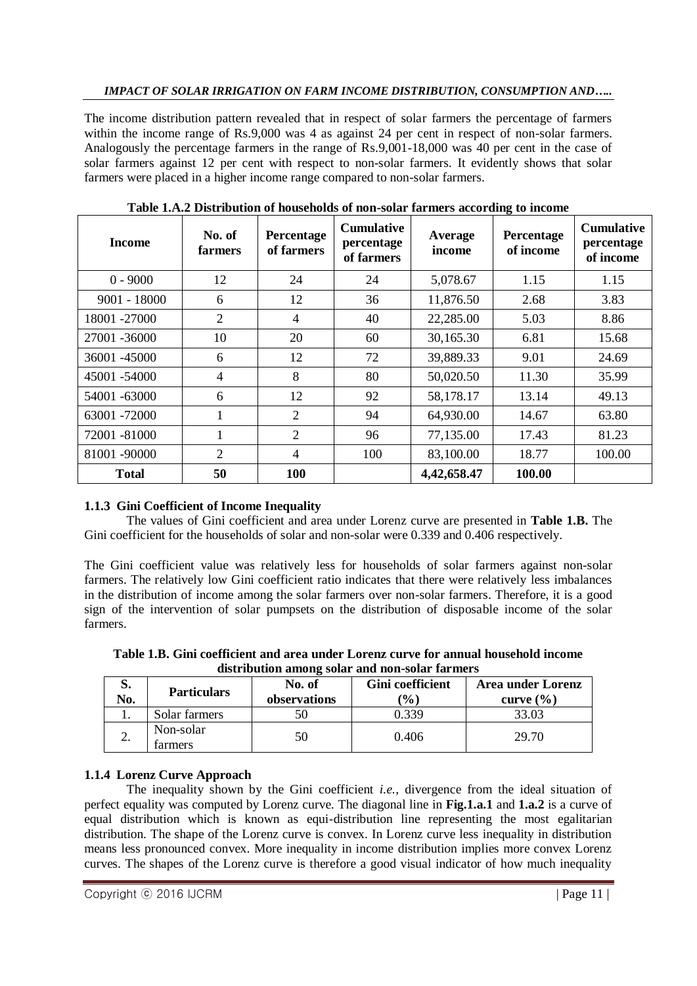## *IMPACT OF SOLAR IRRIGATION ON FARM INCOME DISTRIBUTION, CONSUMPTION AND…..*

The income distribution pattern revealed that in respect of solar farmers the percentage of farmers within the income range of Rs.9,000 was 4 as against 24 per cent in respect of non-solar farmers. Analogously the percentage farmers in the range of Rs.9,001-18,000 was 40 per cent in the case of solar farmers against 12 per cent with respect to non-solar farmers. It evidently shows that solar farmers were placed in a higher income range compared to non-solar farmers.

| <b>Income</b>  | No. of<br>farmers | Percentage<br>of farmers | <b>Cumulative</b><br>percentage<br>of farmers | Average<br>income | ັ<br><b>Percentage</b><br>of income | <b>Cumulative</b><br>percentage<br>of income |
|----------------|-------------------|--------------------------|-----------------------------------------------|-------------------|-------------------------------------|----------------------------------------------|
| $0 - 9000$     | 12                | 24                       | 24                                            | 5,078.67          | 1.15                                | 1.15                                         |
| $9001 - 18000$ | 6                 | 12                       | 36                                            | 11,876.50         | 2.68                                | 3.83                                         |
| 18001-27000    | $\overline{2}$    | 4                        | 40                                            | 22,285.00         | 5.03                                | 8.86                                         |
| 27001 -36000   | 10                | 20                       | 60                                            | 30,165.30         | 6.81                                | 15.68                                        |
| 36001 -45000   | 6                 | 12                       | 72                                            | 39,889.33         | 9.01                                | 24.69                                        |
| 45001 -54000   | $\overline{4}$    | 8                        | 80                                            | 50,020.50         | 11.30                               | 35.99                                        |
| 54001 -63000   | 6                 | 12                       | 92                                            | 58,178.17         | 13.14                               | 49.13                                        |
| 63001 -72000   | 1                 | $\overline{2}$           | 94                                            | 64,930.00         | 14.67                               | 63.80                                        |
| 72001-81000    | 1                 | $\overline{2}$           | 96                                            | 77,135.00         | 17.43                               | 81.23                                        |
| 81001-90000    | $\overline{2}$    | 4                        | 100                                           | 83,100.00         | 18.77                               | 100.00                                       |
| <b>Total</b>   | 50                | 100                      |                                               | 4,42,658.47       | 100.00                              |                                              |

**Table 1.A.2 Distribution of households of non-solar farmers according to income**

# **1.1.3 Gini Coefficient of Income Inequality**

The values of Gini coefficient and area under Lorenz curve are presented in **Table 1.B.** The Gini coefficient for the households of solar and non-solar were 0.339 and 0.406 respectively.

The Gini coefficient value was relatively less for households of solar farmers against non-solar farmers. The relatively low Gini coefficient ratio indicates that there were relatively less imbalances in the distribution of income among the solar farmers over non-solar farmers. Therefore, it is a good sign of the intervention of solar pumpsets on the distribution of disposable income of the solar farmers.

**Table 1.B. Gini coefficient and area under Lorenz curve for annual household income distribution among solar and non-solar farmers**

| way was well want the purpose which alone purpose await and p |                      |              |                  |                          |  |  |
|---------------------------------------------------------------|----------------------|--------------|------------------|--------------------------|--|--|
| o.                                                            | <b>Particulars</b>   | No. of       | Gini coefficient | <b>Area under Lorenz</b> |  |  |
| No.                                                           |                      | observations | $(\% )$          | curve $(\% )$            |  |  |
|                                                               | Solar farmers        | 50           | .339             | 33.03                    |  |  |
| ∼.                                                            | Non-solar<br>farmers | 50           | 0.406            | 29.70                    |  |  |

# **1.1.4 Lorenz Curve Approach**

The inequality shown by the Gini coefficient *i.e.,* divergence from the ideal situation of perfect equality was computed by Lorenz curve. The diagonal line in **Fig.1.a.1** and **1.a.2** is a curve of equal distribution which is known as equi-distribution line representing the most egalitarian distribution. The shape of the Lorenz curve is convex. In Lorenz curve less inequality in distribution means less pronounced convex. More inequality in income distribution implies more convex Lorenz curves. The shapes of the Lorenz curve is therefore a good visual indicator of how much inequality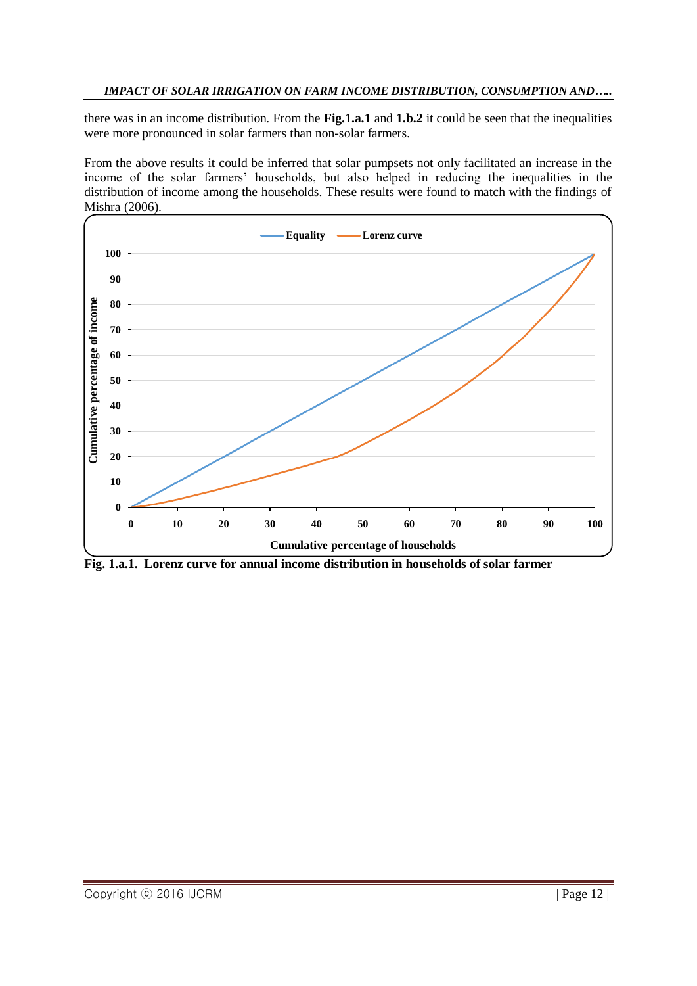## *IMPACT OF SOLAR IRRIGATION ON FARM INCOME DISTRIBUTION, CONSUMPTION AND…..*

there was in an income distribution. From the **Fig.1.a.1** and **1.b.2** it could be seen that the inequalities were more pronounced in solar farmers than non-solar farmers.

From the above results it could be inferred that solar pumpsets not only facilitated an increase in the income of the solar farmers' households, but also helped in reducing the inequalities in the distribution of income among the households. These results were found to match with the findings of Mishra (2006).



**Fig. 1.a.1. Lorenz curve for annual income distribution in households of solar farmer**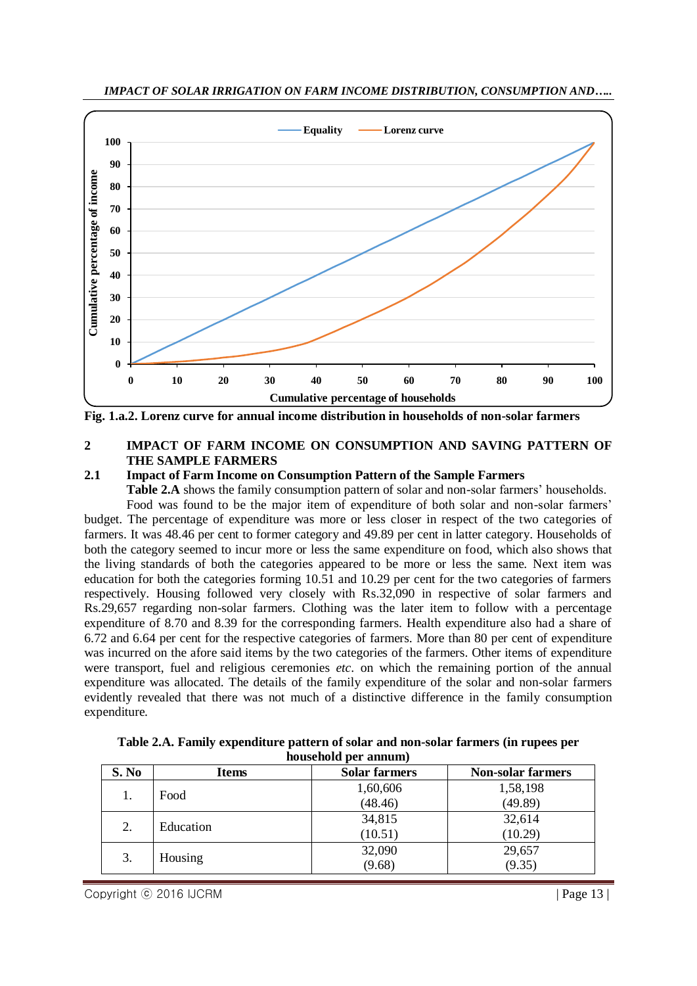

**Fig. 1.a.2. Lorenz curve for annual income distribution in households of non-solar farmers**

#### **2 IMPACT OF FARM INCOME ON CONSUMPTION AND SAVING PATTERN OF THE SAMPLE FARMERS**

# **2.1 Impact of Farm Income on Consumption Pattern of the Sample Farmers**

**Table 2.A** shows the family consumption pattern of solar and non-solar farmers' households.

Food was found to be the major item of expenditure of both solar and non-solar farmers' budget. The percentage of expenditure was more or less closer in respect of the two categories of farmers. It was 48.46 per cent to former category and 49.89 per cent in latter category. Households of both the category seemed to incur more or less the same expenditure on food, which also shows that the living standards of both the categories appeared to be more or less the same. Next item was education for both the categories forming 10.51 and 10.29 per cent for the two categories of farmers respectively. Housing followed very closely with Rs.32,090 in respective of solar farmers and Rs.29,657 regarding non-solar farmers. Clothing was the later item to follow with a percentage expenditure of 8.70 and 8.39 for the corresponding farmers. Health expenditure also had a share of 6.72 and 6.64 per cent for the respective categories of farmers. More than 80 per cent of expenditure was incurred on the afore said items by the two categories of the farmers. Other items of expenditure were transport, fuel and religious ceremonies *etc*. on which the remaining portion of the annual expenditure was allocated. The details of the family expenditure of the solar and non-solar farmers evidently revealed that there was not much of a distinctive difference in the family consumption expenditure.

| S. No | Items     | <b>Solar farmers</b> | <b>Non-solar farmers</b> |
|-------|-----------|----------------------|--------------------------|
| 1.    | Food      | 1,60,606             | 1,58,198                 |
|       |           | (48.46)              | (49.89)                  |
| 2.    | Education | 34,815               | 32,614                   |
|       |           | (10.51)              | (10.29)                  |
| 3.    | Housing   | 32,090               | 29,657                   |
|       |           | (9.68)               | (9.35)                   |

**Table 2.A. Family expenditure pattern of solar and non-solar farmers (in rupees per household per annum)**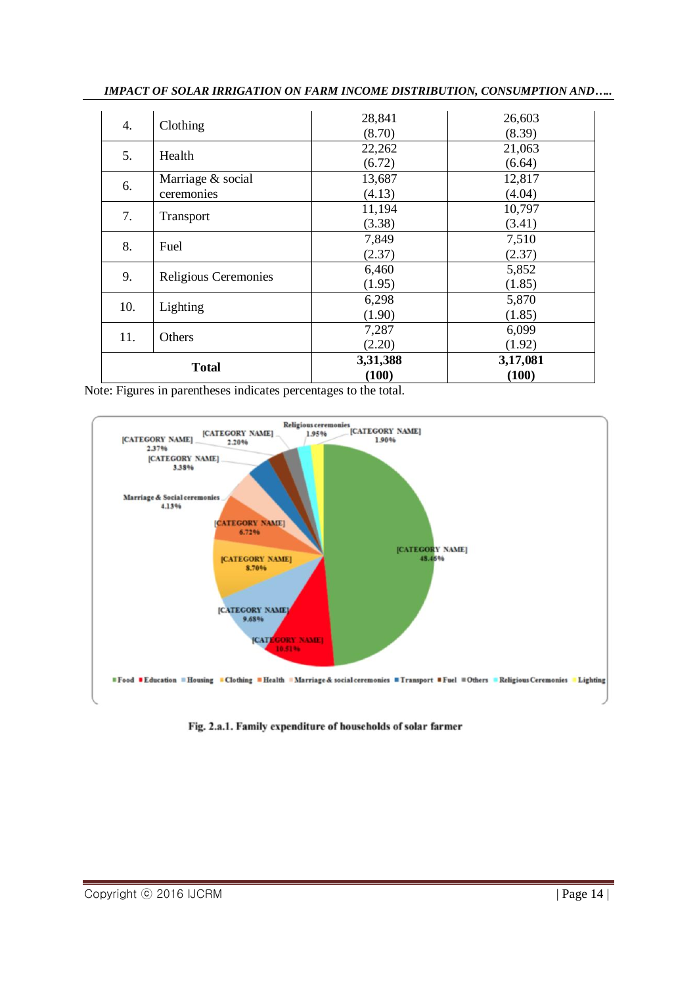| <b>Total</b> |                                 | 3,31,388<br>(100) | 3,17,081<br>(100) |
|--------------|---------------------------------|-------------------|-------------------|
| 11.          | Others                          | 7,287<br>(2.20)   | 6,099<br>(1.92)   |
| 10.          | Lighting                        | 6,298<br>(1.90)   | 5,870<br>(1.85)   |
| 9.           | Religious Ceremonies            | 6,460<br>(1.95)   | 5,852<br>(1.85)   |
| 8.           | Fuel                            | 7,849<br>(2.37)   | 7,510<br>(2.37)   |
| 7.           | Transport                       | 11,194<br>(3.38)  | 10,797<br>(3.41)  |
| 6.           | Marriage & social<br>ceremonies | 13,687<br>(4.13)  | 12,817<br>(4.04)  |
| 5.           | Health                          | 22,262<br>(6.72)  | 21,063<br>(6.64)  |
| 4.           | Clothing                        | 28,841<br>(8.70)  | 26,603<br>(8.39)  |

*IMPACT OF SOLAR IRRIGATION ON FARM INCOME DISTRIBUTION, CONSUMPTION AND…..*

Note: Figures in parentheses indicates percentages to the total.



Fig. 2.a.1. Family expenditure of households of solar farmer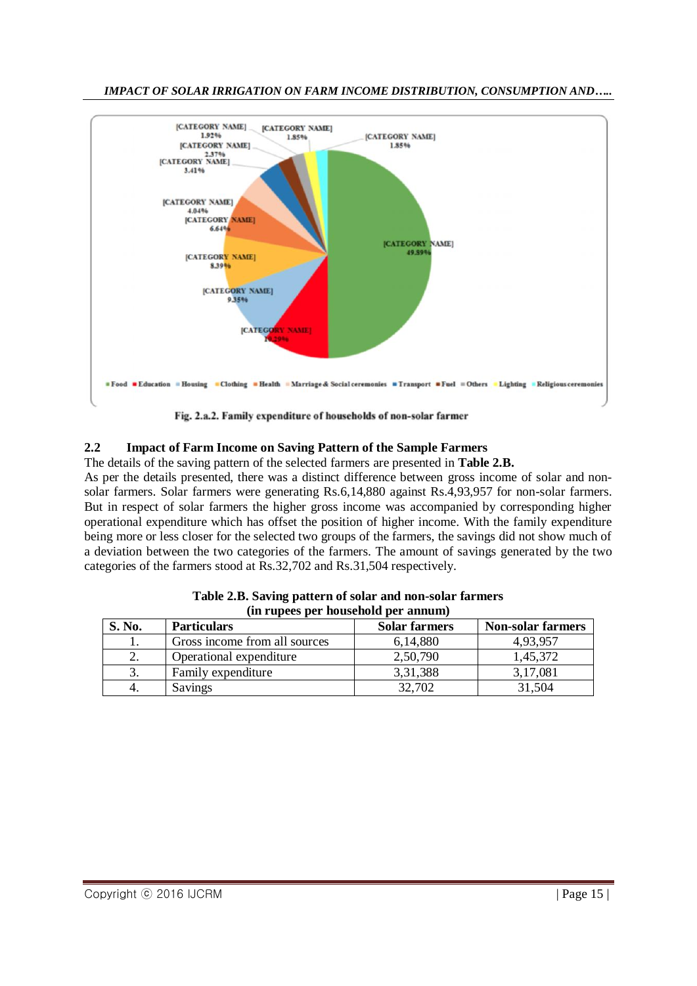

*IMPACT OF SOLAR IRRIGATION ON FARM INCOME DISTRIBUTION, CONSUMPTION AND…..*

# **2.2 Impact of Farm Income on Saving Pattern of the Sample Farmers**

The details of the saving pattern of the selected farmers are presented in **Table 2.B.**

As per the details presented, there was a distinct difference between gross income of solar and nonsolar farmers. Solar farmers were generating Rs.6,14,880 against Rs.4,93,957 for non-solar farmers. But in respect of solar farmers the higher gross income was accompanied by corresponding higher operational expenditure which has offset the position of higher income. With the family expenditure being more or less closer for the selected two groups of the farmers, the savings did not show much of a deviation between the two categories of the farmers. The amount of savings generated by the two categories of the farmers stood at Rs.32,702 and Rs.31,504 respectively.

| (in rupees per nousenoid per annum) |                               |                      |                          |  |  |  |
|-------------------------------------|-------------------------------|----------------------|--------------------------|--|--|--|
| S. No.                              | <b>Particulars</b>            | <b>Solar farmers</b> | <b>Non-solar farmers</b> |  |  |  |
|                                     | Gross income from all sources | 6,14,880             | 4.93.957                 |  |  |  |
| 2.                                  | Operational expenditure       | 2,50,790             | 1,45,372                 |  |  |  |
| 3.                                  | Family expenditure            | 3,31,388             | 3,17,081                 |  |  |  |
|                                     | Savings                       | 32,702               | 31,504                   |  |  |  |

**Table 2.B. Saving pattern of solar and non-solar farmers (in rupees per household per annum)**